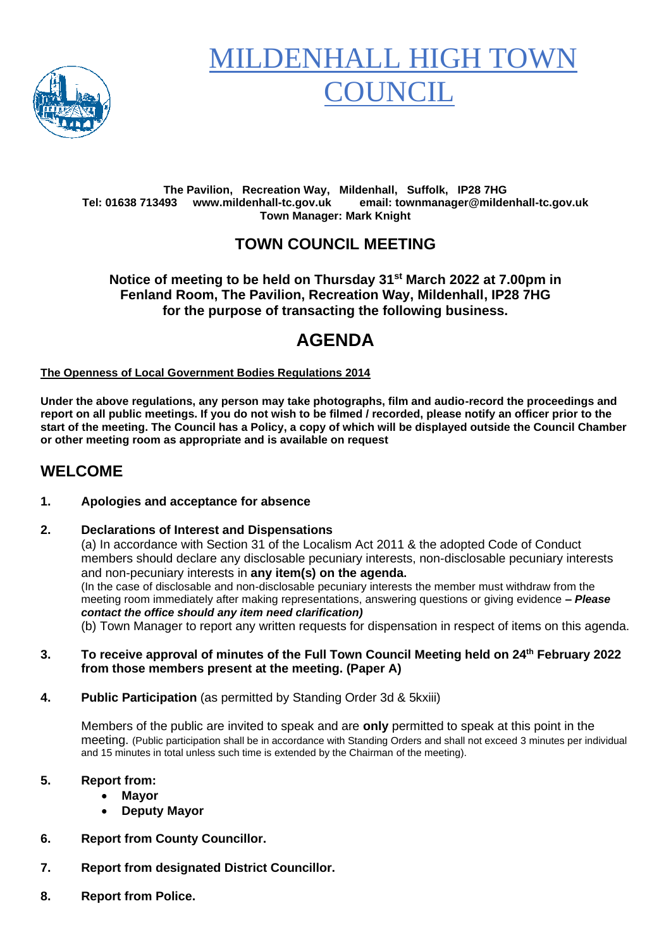

# **MILDENHALL HIGH TO OUNCIL**

#### **The Pavilion, Recreation Way, Mildenhall, Suffolk, IP28 7HG Tel: 01638 713493 www.mildenhall-tc.gov.uk email: townmanager@mildenhall-tc.gov.uk Town Manager: Mark Knight**

# **TOWN COUNCIL MEETING**

#### **Notice of meeting to be held on Thursday 31st March 2022 at 7.00pm in Fenland Room, The Pavilion, Recreation Way, Mildenhall, IP28 7HG for the purpose of transacting the following business.**

# **AGENDA**

#### **The Openness of Local Government Bodies Regulations 2014**

**Under the above regulations, any person may take photographs, film and audio-record the proceedings and report on all public meetings. If you do not wish to be filmed / recorded, please notify an officer prior to the start of the meeting. The Council has a Policy, a copy of which will be displayed outside the Council Chamber or other meeting room as appropriate and is available on request**

### **WELCOME**

#### **1. Apologies and acceptance for absence**

#### **2. Declarations of Interest and Dispensations**

(a) In accordance with Section 31 of the Localism Act 2011 & the adopted Code of Conduct members should declare any disclosable pecuniary interests, non-disclosable pecuniary interests and non-pecuniary interests in **any item(s) on the agenda.** (In the case of disclosable and non-disclosable pecuniary interests the member must withdraw from the meeting room immediately after making representations, answering questions or giving evidence **–** *Please contact the office should any item need clarification)* (b) Town Manager to report any written requests for dispensation in respect of items on this agenda.

**3. To receive approval of minutes of the Full Town Council Meeting held on 24 th February 2022 from those members present at the meeting. (Paper A)**

**4. Public Participation** (as permitted by Standing Order 3d & 5kxiii)

Members of the public are invited to speak and are **only** permitted to speak at this point in the meeting. (Public participation shall be in accordance with Standing Orders and shall not exceed 3 minutes per individual and 15 minutes in total unless such time is extended by the Chairman of the meeting).

#### **5. Report from:**

- **Mayor**
- **Deputy Mayor**
- **6. Report from County Councillor.**
- **7. Report from designated District Councillor.**
- **8. Report from Police.**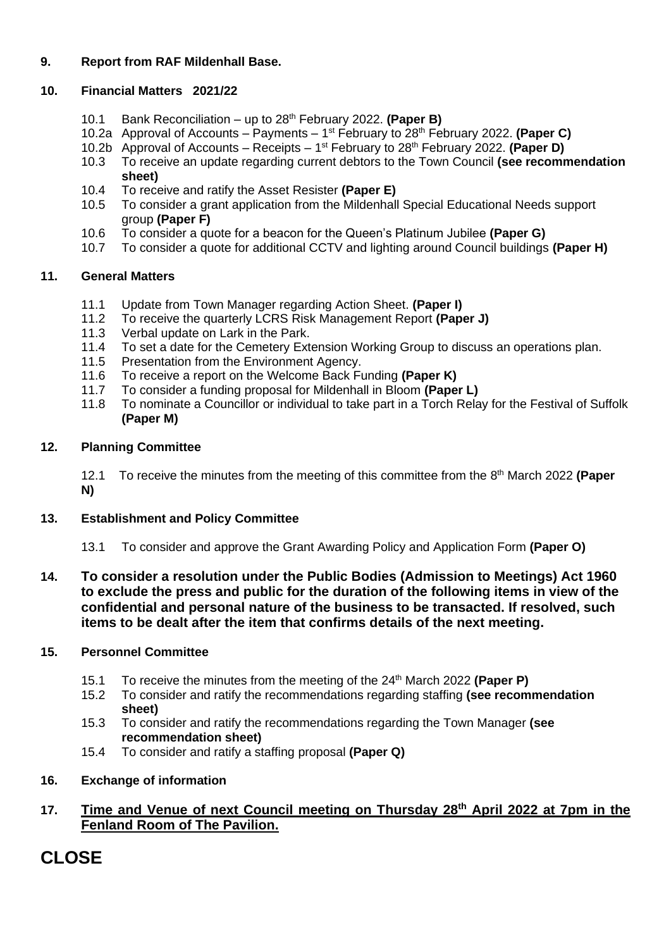#### **9. Report from RAF Mildenhall Base.**

#### **10. Financial Matters 2021/22**

- 10.1 Bank Reconciliation up to 28th February 2022. **(Paper B)**
- 10.2a Approval of Accounts Payments 1 st February to 28th February 2022. **(Paper C)**
- 10.2b Approval of Accounts Receipts 1 st February to 28th February 2022. **(Paper D)**
- 10.3 To receive an update regarding current debtors to the Town Council **(see recommendation sheet)**
- 10.4 To receive and ratify the Asset Resister **(Paper E)**
- 10.5 To consider a grant application from the Mildenhall Special Educational Needs support group **(Paper F)**
- 10.6 To consider a quote for a beacon for the Queen's Platinum Jubilee **(Paper G)**
- 10.7 To consider a quote for additional CCTV and lighting around Council buildings **(Paper H)**

#### **11. General Matters**

- 11.1 Update from Town Manager regarding Action Sheet. **(Paper I)**
- 11.2 To receive the quarterly LCRS Risk Management Report **(Paper J)**
- 
- 11.3 Verbal update on Lark in the Park.<br>11.4 To set a date for the Cemetery Exte To set a date for the Cemetery Extension Working Group to discuss an operations plan.
- 11.5 Presentation from the Environment Agency.
- 11.6 To receive a report on the Welcome Back Funding **(Paper K)**
- 11.7 To consider a funding proposal for Mildenhall in Bloom **(Paper L)**
- 11.8 To nominate a Councillor or individual to take part in a Torch Relay for the Festival of Suffolk **(Paper M)**

#### **12. Planning Committee**

12.1 To receive the minutes from the meeting of this committee from the 8 th March 2022 **(Paper N)**

#### **13. Establishment and Policy Committee**

- 13.1 To consider and approve the Grant Awarding Policy and Application Form **(Paper O)**
- **14. To consider a resolution under the Public Bodies (Admission to Meetings) Act 1960 to exclude the press and public for the duration of the following items in view of the confidential and personal nature of the business to be transacted. If resolved, such items to be dealt after the item that confirms details of the next meeting.**

#### **15. Personnel Committee**

- 15.1 To receive the minutes from the meeting of the 24th March 2022 **(Paper P)**
- 15.2 To consider and ratify the recommendations regarding staffing **(see recommendation sheet)**
- 15.3 To consider and ratify the recommendations regarding the Town Manager **(see recommendation sheet)**
- 15.4 To consider and ratify a staffing proposal **(Paper Q)**

#### **16. Exchange of information**

#### **17. Time and Venue of next Council meeting on Thursday 28 th April 2022 at 7pm in the Fenland Room of The Pavilion.**

# **CLOSE**